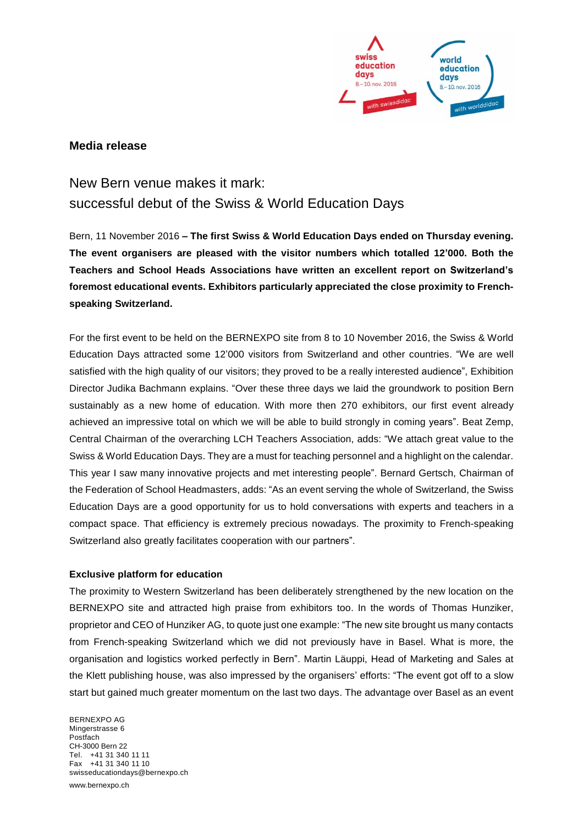

## **Media release**

# New Bern venue makes it mark: successful debut of the Swiss & World Education Days

Bern, 11 November 2016 **– The first Swiss & World Education Days ended on Thursday evening. The event organisers are pleased with the visitor numbers which totalled 12'000. Both the Teachers and School Heads Associations have written an excellent report on Switzerland's foremost educational events. Exhibitors particularly appreciated the close proximity to Frenchspeaking Switzerland.**

For the first event to be held on the BERNEXPO site from 8 to 10 November 2016, the Swiss & World Education Days attracted some 12'000 visitors from Switzerland and other countries. "We are well satisfied with the high quality of our visitors; they proved to be a really interested audience", Exhibition Director Judika Bachmann explains. "Over these three days we laid the groundwork to position Bern sustainably as a new home of education. With more then 270 exhibitors, our first event already achieved an impressive total on which we will be able to build strongly in coming years". Beat Zemp, Central Chairman of the overarching LCH Teachers Association, adds: "We attach great value to the Swiss & World Education Days. They are a must for teaching personnel and a highlight on the calendar. This year I saw many innovative projects and met interesting people". Bernard Gertsch, Chairman of the Federation of School Headmasters, adds: "As an event serving the whole of Switzerland, the Swiss Education Days are a good opportunity for us to hold conversations with experts and teachers in a compact space. That efficiency is extremely precious nowadays. The proximity to French-speaking Switzerland also greatly facilitates cooperation with our partners".

#### **Exclusive platform for education**

The proximity to Western Switzerland has been deliberately strengthened by the new location on the BERNEXPO site and attracted high praise from exhibitors too. In the words of Thomas Hunziker, proprietor and CEO of Hunziker AG, to quote just one example: "The new site brought us many contacts from French-speaking Switzerland which we did not previously have in Basel. What is more, the organisation and logistics worked perfectly in Bern". Martin Läuppi, Head of Marketing and Sales at the Klett publishing house, was also impressed by the organisers' efforts: "The event got off to a slow start but gained much greater momentum on the last two days. The advantage over Basel as an event

BERNEXPO AG Mingerstrasse 6 Postfach CH-3000 Bern 22 Tel. +41 31 340 11 11 Fax +41 31 340 11 10 swisseducationdays@bernexpo.ch

www.bernexpo.ch